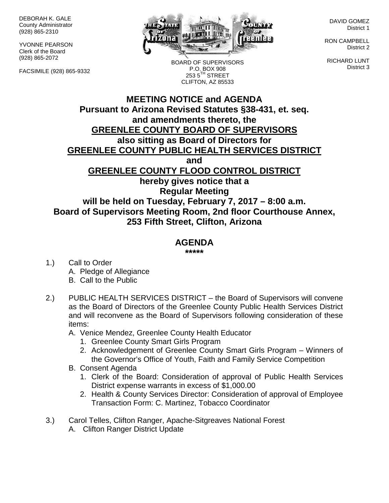DEBORAH K. GALE County Administrator (928) 865-2310

YVONNE PEARSON Clerk of the Board (928) 865-2072

FACSIMILE (928) 865-9332



BOARD OF SUPERVISORS P.O. BOX 908  $2535^{\text{TH}}$  STREET

DAVID GOMEZ District 1

RON CAMPBELL District 2

RICHARD LUNT District 3

## **MEETING NOTICE and AGENDA Pursuant to Arizona Revised Statutes §38-431, et. seq. and amendments thereto, the GREENLEE COUNTY BOARD OF SUPERVISORS also sitting as Board of Directors for GREENLEE COUNTY PUBLIC HEALTH SERVICES DISTRICT and GREENLEE COUNTY FLOOD CONTROL DISTRICT hereby gives notice that a Regular Meeting will be held on Tuesday, February 7, 2017 – 8:00 a.m. Board of Supervisors Meeting Room, 2nd floor Courthouse Annex, 253 Fifth Street, Clifton, Arizona** CLIFTON, AZ 85533

## **AGENDA**

**\*\*\*\*\***

- 1.) Call to Order A. Pledge of Allegiance B. Call to the Public
- 2.) PUBLIC HEALTH SERVICES DISTRICT the Board of Supervisors will convene as the Board of Directors of the Greenlee County Public Health Services District and will reconvene as the Board of Supervisors following consideration of these items:
	- A. Venice Mendez, Greenlee County Health Educator
		- 1. Greenlee County Smart Girls Program
		- 2. Acknowledgement of Greenlee County Smart Girls Program Winners of the Governor's Office of Youth, Faith and Family Service Competition
	- B. Consent Agenda
		- 1. Clerk of the Board: Consideration of approval of Public Health Services District expense warrants in excess of \$1,000.00
		- 2. Health & County Services Director: Consideration of approval of Employee Transaction Form: C. Martinez, Tobacco Coordinator
- 3.) Carol Telles, Clifton Ranger, Apache-Sitgreaves National Forest
	- A. Clifton Ranger District Update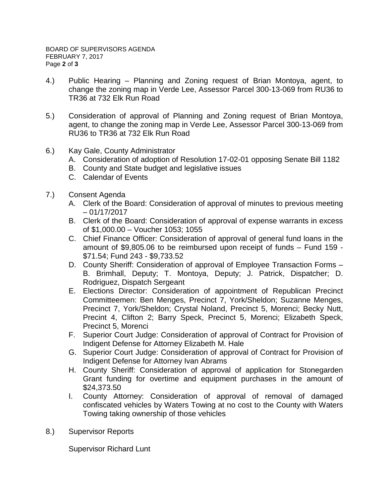- 4.) Public Hearing Planning and Zoning request of Brian Montoya, agent, to change the zoning map in Verde Lee, Assessor Parcel 300-13-069 from RU36 to TR36 at 732 Elk Run Road
- 5.) Consideration of approval of Planning and Zoning request of Brian Montoya, agent, to change the zoning map in Verde Lee, Assessor Parcel 300-13-069 from RU36 to TR36 at 732 Elk Run Road
- 6.) Kay Gale, County Administrator
	- A. Consideration of adoption of Resolution 17-02-01 opposing Senate Bill 1182
	- B. County and State budget and legislative issues
	- C. Calendar of Events
- 7.) Consent Agenda
	- A. Clerk of the Board: Consideration of approval of minutes to previous meeting – 01/17/2017
	- B. Clerk of the Board: Consideration of approval of expense warrants in excess of \$1,000.00 – Voucher 1053; 1055
	- C. Chief Finance Officer: Consideration of approval of general fund loans in the amount of \$9,805.06 to be reimbursed upon receipt of funds – Fund 159 - \$71.54; Fund 243 - \$9,733.52
	- D. County Sheriff: Consideration of approval of Employee Transaction Forms B. Brimhall, Deputy; T. Montoya, Deputy; J. Patrick, Dispatcher; D. Rodriguez, Dispatch Sergeant
	- E. Elections Director: Consideration of appointment of Republican Precinct Committeemen: Ben Menges, Precinct 7, York/Sheldon; Suzanne Menges, Precinct 7, York/Sheldon; Crystal Noland, Precinct 5, Morenci; Becky Nutt, Precint 4, Clifton 2; Barry Speck, Precinct 5, Morenci; Elizabeth Speck, Precinct 5, Morenci
	- F. Superior Court Judge: Consideration of approval of Contract for Provision of Indigent Defense for Attorney Elizabeth M. Hale
	- G. Superior Court Judge: Consideration of approval of Contract for Provision of Indigent Defense for Attorney Ivan Abrams
	- H. County Sheriff: Consideration of approval of application for Stonegarden Grant funding for overtime and equipment purchases in the amount of \$24,373.50
	- I. County Attorney: Consideration of approval of removal of damaged confiscated vehicles by Waters Towing at no cost to the County with Waters Towing taking ownership of those vehicles
- 8.) Supervisor Reports

Supervisor Richard Lunt